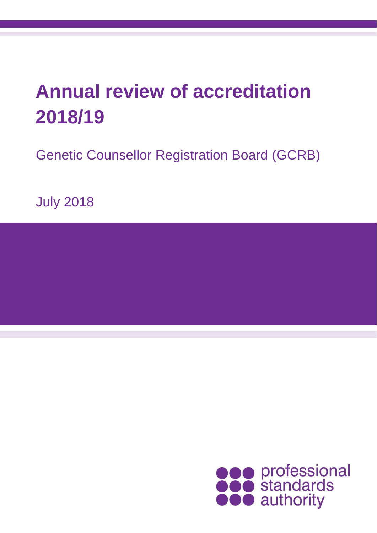# **Annual review of accreditation 2018/19**

Genetic Counsellor Registration Board (GCRB)

July 2018

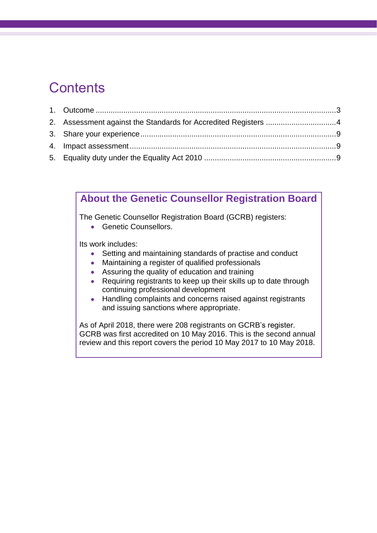### **Contents**

| 2. Assessment against the Standards for Accredited Registers 4 |  |
|----------------------------------------------------------------|--|
|                                                                |  |
|                                                                |  |
|                                                                |  |

### **About the Genetic Counsellor Registration Board**

The Genetic Counsellor Registration Board (GCRB) registers:

• Genetic Counsellors.

Its work includes:

- Setting and maintaining standards of practise and conduct
- Maintaining a register of qualified professionals
- Assuring the quality of education and training
- Requiring registrants to keep up their skills up to date through continuing professional development
- Handling complaints and concerns raised against registrants and issuing sanctions where appropriate.

As of April 2018, there were 208 registrants on GCRB's register. GCRB was first accredited on 10 May 2016. This is the second annual review and this report covers the period 10 May 2017 to 10 May 2018.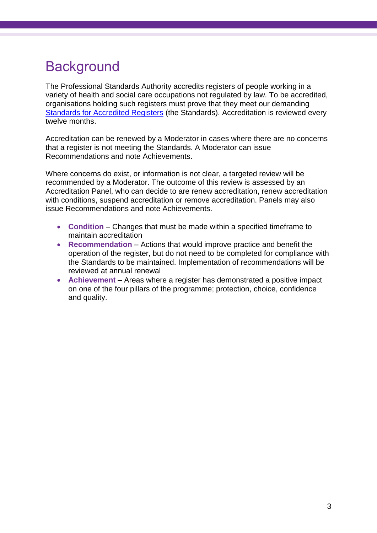## <span id="page-2-0"></span>**Background**

The Professional Standards Authority accredits registers of people working in a variety of health and social care occupations not regulated by law. To be accredited, organisations holding such registers must prove that they meet our demanding [Standards for Accredited Registers](https://www.professionalstandards.org.uk/accredited-registers/about-accredited-registers/our-standards) (the Standards). Accreditation is reviewed every twelve months.

Accreditation can be renewed by a Moderator in cases where there are no concerns that a register is not meeting the Standards. A Moderator can issue Recommendations and note Achievements.

Where concerns do exist, or information is not clear, a targeted review will be recommended by a Moderator. The outcome of this review is assessed by an Accreditation Panel, who can decide to are renew accreditation, renew accreditation with conditions, suspend accreditation or remove accreditation. Panels may also issue Recommendations and note Achievements.

- **Condition** Changes that must be made within a specified timeframe to maintain accreditation
- **Recommendation** Actions that would improve practice and benefit the operation of the register, but do not need to be completed for compliance with the Standards to be maintained. Implementation of recommendations will be reviewed at annual renewal
- **Achievement** Areas where a register has demonstrated a positive impact on one of the four pillars of the programme; protection, choice, confidence and quality.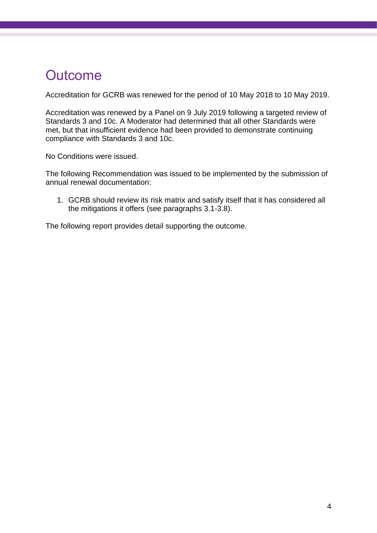### **Outcome**

Accreditation for GCRB was renewed for the period of 10 May 2018 to 10 May 2019.

Accreditation was renewed by a Panel on 9 July 2019 following a targeted review of Standards 3 and 10c. A Moderator had determined that all other Standards were met, but that insufficient evidence had been provided to demonstrate continuing compliance with Standards 3 and 10c.

No Conditions were issued.

The following Recommendation was issued to be implemented by the submission of annual renewal documentation:

1. GCRB should review its risk matrix and satisfy itself that it has considered all the mitigations it offers (see paragraphs [3.1](#page-4-0)[-3.8\)](#page-5-0).

<span id="page-3-0"></span>The following report provides detail supporting the outcome.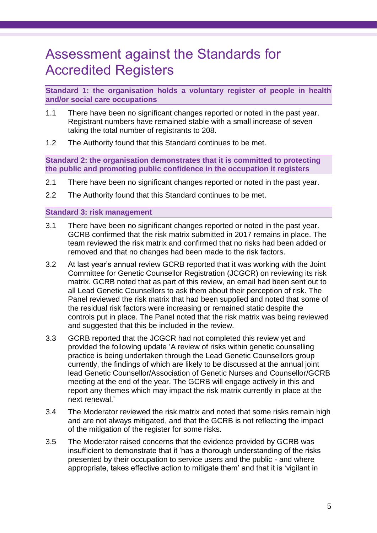### Assessment against the Standards for Accredited Registers

**Standard 1: the organisation holds a voluntary register of people in health and/or social care occupations**

- 1.1 There have been no significant changes reported or noted in the past year. Registrant numbers have remained stable with a small increase of seven taking the total number of registrants to 208.
- 1.2 The Authority found that this Standard continues to be met.

**Standard 2: the organisation demonstrates that it is committed to protecting the public and promoting public confidence in the occupation it registers**

- 2.1 There have been no significant changes reported or noted in the past year.
- 2.2 The Authority found that this Standard continues to be met.

#### **Standard 3: risk management**

- <span id="page-4-0"></span>3.1 There have been no significant changes reported or noted in the past year. GCRB confirmed that the risk matrix submitted in 2017 remains in place. The team reviewed the risk matrix and confirmed that no risks had been added or removed and that no changes had been made to the risk factors.
- 3.2 At last year's annual review GCRB reported that it was working with the Joint Committee for Genetic Counsellor Registration (JCGCR) on reviewing its risk matrix. GCRB noted that as part of this review, an email had been sent out to all Lead Genetic Counsellors to ask them about their perception of risk. The Panel reviewed the risk matrix that had been supplied and noted that some of the residual risk factors were increasing or remained static despite the controls put in place. The Panel noted that the risk matrix was being reviewed and suggested that this be included in the review.
- 3.3 GCRB reported that the JCGCR had not completed this review yet and provided the following update 'A review of risks within genetic counselling practice is being undertaken through the Lead Genetic Counsellors group currently, the findings of which are likely to be discussed at the annual joint lead Genetic Counsellor/Association of Genetic Nurses and Counsellor/GCRB meeting at the end of the year. The GCRB will engage actively in this and report any themes which may impact the risk matrix currently in place at the next renewal.'
- 3.4 The Moderator reviewed the risk matrix and noted that some risks remain high and are not always mitigated, and that the GCRB is not reflecting the impact of the mitigation of the register for some risks.
- 3.5 The Moderator raised concerns that the evidence provided by GCRB was insufficient to demonstrate that it 'has a thorough understanding of the risks presented by their occupation to service users and the public - and where appropriate, takes effective action to mitigate them' and that it is 'vigilant in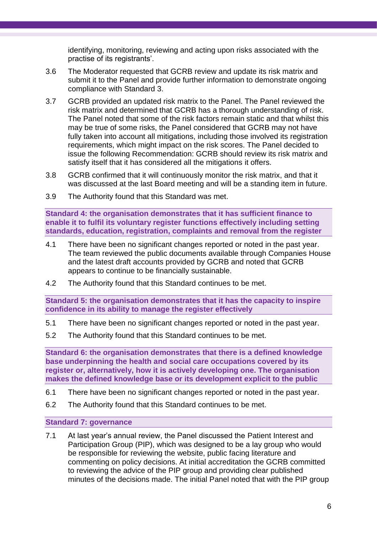identifying, monitoring, reviewing and acting upon risks associated with the practise of its registrants'.

- 3.6 The Moderator requested that GCRB review and update its risk matrix and submit it to the Panel and provide further information to demonstrate ongoing compliance with Standard 3.
- 3.7 GCRB provided an updated risk matrix to the Panel. The Panel reviewed the risk matrix and determined that GCRB has a thorough understanding of risk. The Panel noted that some of the risk factors remain static and that whilst this may be true of some risks, the Panel considered that GCRB may not have fully taken into account all mitigations, including those involved its registration requirements, which might impact on the risk scores. The Panel decided to issue the following Recommendation: GCRB should review its risk matrix and satisfy itself that it has considered all the mitigations it offers.
- <span id="page-5-0"></span>3.8 GCRB confirmed that it will continuously monitor the risk matrix, and that it was discussed at the last Board meeting and will be a standing item in future.
- 3.9 The Authority found that this Standard was met.

**Standard 4: the organisation demonstrates that it has sufficient finance to enable it to fulfil its voluntary register functions effectively including setting standards, education, registration, complaints and removal from the register**

- 4.1 There have been no significant changes reported or noted in the past year. The team reviewed the public documents available through Companies House and the latest draft accounts provided by GCRB and noted that GCRB appears to continue to be financially sustainable.
- 4.2 The Authority found that this Standard continues to be met.

**Standard 5: the organisation demonstrates that it has the capacity to inspire confidence in its ability to manage the register effectively**

- 5.1 There have been no significant changes reported or noted in the past year.
- 5.2 The Authority found that this Standard continues to be met.

**Standard 6: the organisation demonstrates that there is a defined knowledge base underpinning the health and social care occupations covered by its register or, alternatively, how it is actively developing one. The organisation makes the defined knowledge base or its development explicit to the public**

- 6.1 There have been no significant changes reported or noted in the past year.
- 6.2 The Authority found that this Standard continues to be met.

#### **Standard 7: governance**

7.1 At last year's annual review, the Panel discussed the Patient Interest and Participation Group (PIP), which was designed to be a lay group who would be responsible for reviewing the website, public facing literature and commenting on policy decisions. At initial accreditation the GCRB committed to reviewing the advice of the PIP group and providing clear published minutes of the decisions made. The initial Panel noted that with the PIP group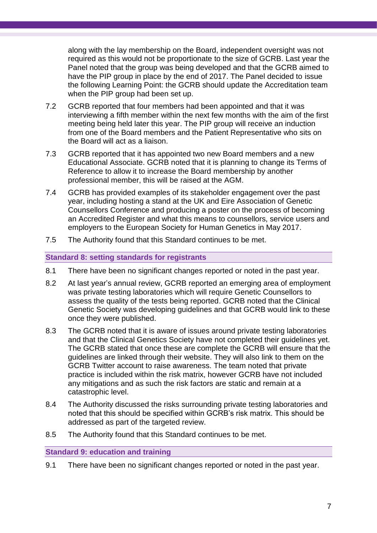along with the lay membership on the Board, independent oversight was not required as this would not be proportionate to the size of GCRB. Last year the Panel noted that the group was being developed and that the GCRB aimed to have the PIP group in place by the end of 2017. The Panel decided to issue the following Learning Point: the GCRB should update the Accreditation team when the PIP group had been set up.

- 7.2 GCRB reported that four members had been appointed and that it was interviewing a fifth member within the next few months with the aim of the first meeting being held later this year. The PIP group will receive an induction from one of the Board members and the Patient Representative who sits on the Board will act as a liaison.
- 7.3 GCRB reported that it has appointed two new Board members and a new Educational Associate. GCRB noted that it is planning to change its Terms of Reference to allow it to increase the Board membership by another professional member, this will be raised at the AGM.
- 7.4 GCRB has provided examples of its stakeholder engagement over the past year, including hosting a stand at the UK and Eire Association of Genetic Counsellors Conference and producing a poster on the process of becoming an Accredited Register and what this means to counsellors, service users and employers to the European Society for Human Genetics in May 2017.
- 7.5 The Authority found that this Standard continues to be met.

#### **Standard 8: setting standards for registrants**

- 8.1 There have been no significant changes reported or noted in the past year.
- 8.2 At last year's annual review, GCRB reported an emerging area of employment was private testing laboratories which will require Genetic Counsellors to assess the quality of the tests being reported. GCRB noted that the Clinical Genetic Society was developing guidelines and that GCRB would link to these once they were published.
- 8.3 The GCRB noted that it is aware of issues around private testing laboratories and that the Clinical Genetics Society have not completed their guidelines yet. The GCRB stated that once these are complete the GCRB will ensure that the guidelines are linked through their website. They will also link to them on the GCRB Twitter account to raise awareness. The team noted that private practice is included within the risk matrix, however GCRB have not included any mitigations and as such the risk factors are static and remain at a catastrophic level.
- 8.4 The Authority discussed the risks surrounding private testing laboratories and noted that this should be specified within GCRB's risk matrix. This should be addressed as part of the targeted review.
- 8.5 The Authority found that this Standard continues to be met.

#### **Standard 9: education and training**

9.1 There have been no significant changes reported or noted in the past year.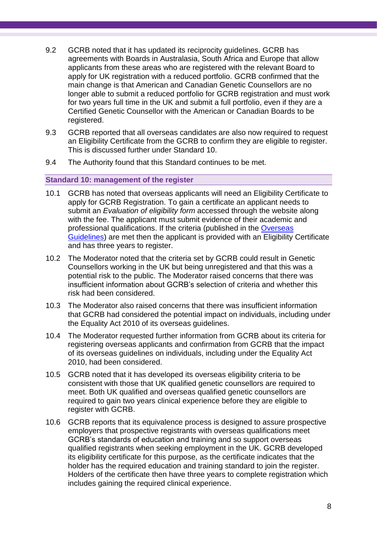- 9.2 GCRB noted that it has updated its reciprocity guidelines. GCRB has agreements with Boards in Australasia, South Africa and Europe that allow applicants from these areas who are registered with the relevant Board to apply for UK registration with a reduced portfolio. GCRB confirmed that the main change is that American and Canadian Genetic Counsellors are no longer able to submit a reduced portfolio for GCRB registration and must work for two years full time in the UK and submit a full portfolio, even if they are a Certified Genetic Counsellor with the American or Canadian Boards to be registered.
- 9.3 GCRB reported that all overseas candidates are also now required to request an Eligibility Certificate from the GCRB to confirm they are eligible to register. This is discussed further under Standard 10.
- 9.4 The Authority found that this Standard continues to be met.

#### **Standard 10: management of the register**

- 10.1 GCRB has noted that overseas applicants will need an Eligibility Certificate to apply for GCRB Registration. To gain a certificate an applicant needs to submit an *Evaluation of eligibility form* accessed through the website along with the fee. The applicant must submit evidence of their academic and professional qualifications. If the criteria (published in the [Overseas](http://www.gcrb.org.uk/media/9332/overseas-guidelines-v2-jan-2017.pdf)  [Guidelines\)](http://www.gcrb.org.uk/media/9332/overseas-guidelines-v2-jan-2017.pdf) are met then the applicant is provided with an Eligibility Certificate and has three years to register.
- 10.2 The Moderator noted that the criteria set by GCRB could result in Genetic Counsellors working in the UK but being unregistered and that this was a potential risk to the public. The Moderator raised concerns that there was insufficient information about GCRB's selection of criteria and whether this risk had been considered.
- 10.3 The Moderator also raised concerns that there was insufficient information that GCRB had considered the potential impact on individuals, including under the Equality Act 2010 of its overseas guidelines.
- 10.4 The Moderator requested further information from GCRB about its criteria for registering overseas applicants and confirmation from GCRB that the impact of its overseas guidelines on individuals, including under the Equality Act 2010, had been considered.
- 10.5 GCRB noted that it has developed its overseas eligibility criteria to be consistent with those that UK qualified genetic counsellors are required to meet. Both UK qualified and overseas qualified genetic counsellors are required to gain two years clinical experience before they are eligible to register with GCRB.
- 10.6 GCRB reports that its equivalence process is designed to assure prospective employers that prospective registrants with overseas qualifications meet GCRB's standards of education and training and so support overseas qualified registrants when seeking employment in the UK. GCRB developed its eligibility certificate for this purpose, as the certificate indicates that the holder has the required education and training standard to join the register. Holders of the certificate then have three years to complete registration which includes gaining the required clinical experience.